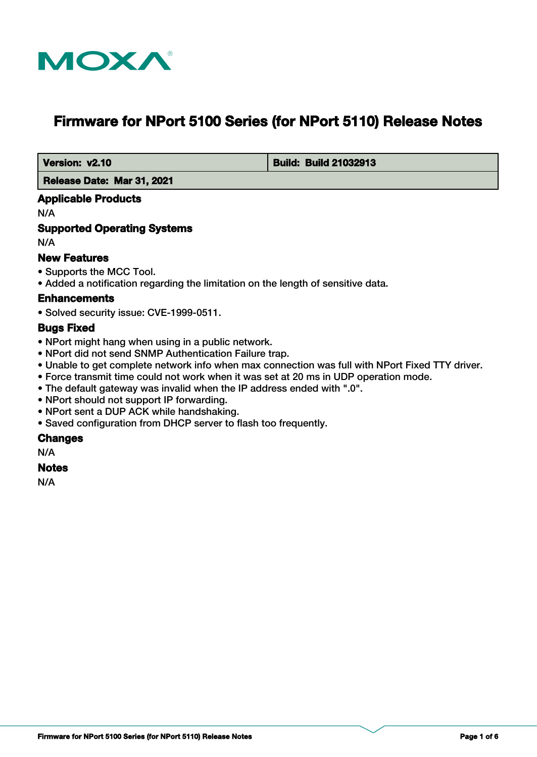

# **Firmware for NPort 5100 Series (for NPort 5110) Release Notes**

 **Version: v2.10 Build: Build: Build: Build 21032913** 

 **Release Date: Mar 31, 2021**

### **Applicable Products**

N/A

### **Supported Operating Systems**

N/A

### **New Features**

- Supports the MCC Tool.
- Added a notification regarding the limitation on the length of sensitive data.

#### **Enhancements**

• Solved security issue: CVE-1999-0511.

#### **Bugs Fixed**

- NPort might hang when using in a public network.
- NPort did not send SNMP Authentication Failure trap.
- Unable to get complete network info when max connection was full with NPort Fixed TTY driver.
- Force transmit time could not work when it was set at 20 ms in UDP operation mode.
- The default gateway was invalid when the IP address ended with ".0".
- NPort should not support IP forwarding.
- NPort sent a DUP ACK while handshaking.
- Saved configuration from DHCP server to flash too frequently.

#### **Changes**

N/A

#### **Notes**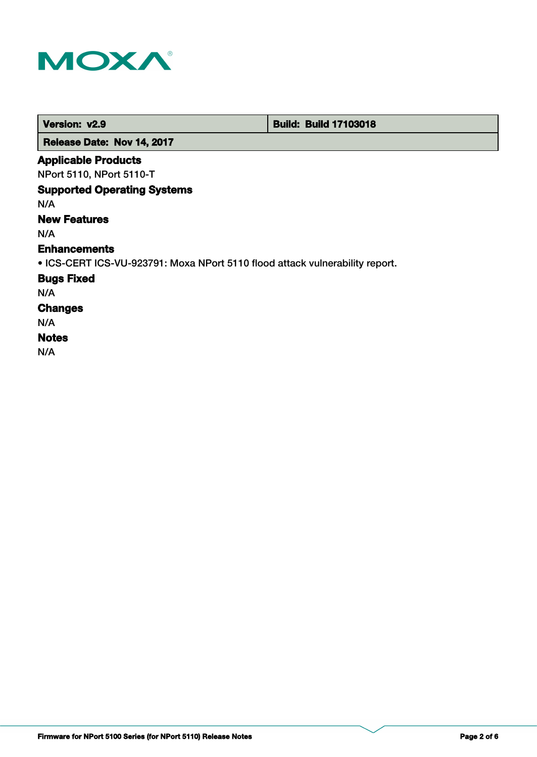

 **Version: v2.9 Build: Build: Build 17103018** 

 **Release Date: Nov 14, 2017**

### **Applicable Products**

NPort 5110, NPort 5110-T

### **Supported Operating Systems**

N/A

### **New Features**

N/A

#### **Enhancements**

• ICS-CERT ICS-VU-923791: Moxa NPort 5110 flood attack vulnerability report.

### **Bugs Fixed**

N/A

## **Changes**

N/A

### **Notes**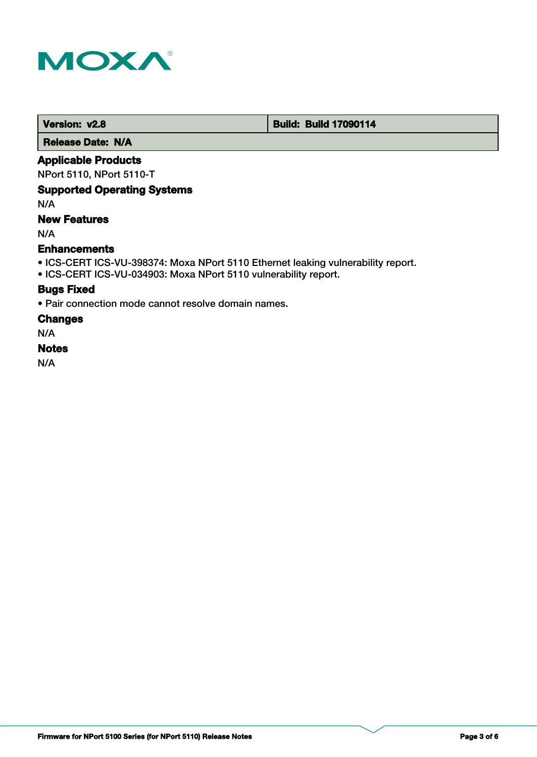

 **Version: v2.8 Build: Build: Build 17090114** 

 **Release Date: N/A**

### **Applicable Products**

NPort 5110, NPort 5110-T

### **Supported Operating Systems**

N/A

### **New Features**

N/A

#### **Enhancements**

- ICS-CERT ICS-VU-398374: Moxa NPort 5110 Ethernet leaking vulnerability report.
- ICS-CERT ICS-VU-034903: Moxa NPort 5110 vulnerability report.

### **Bugs Fixed**

• Pair connection mode cannot resolve domain names.

### **Changes**

N/A

#### **Notes**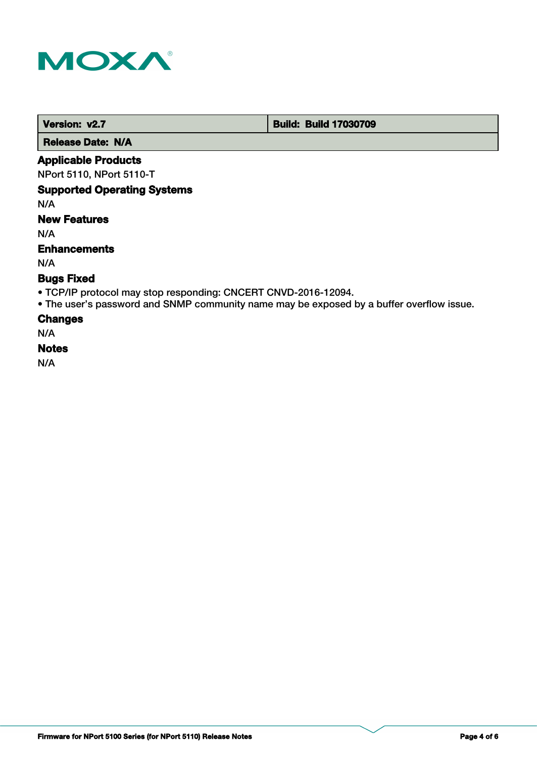

 **Version: v2.7 Build: Build: Build 17030709** 

 **Release Date: N/A**

### **Applicable Products**

NPort 5110, NPort 5110-T

### **Supported Operating Systems**

N/A

### **New Features**

N/A

### **Enhancements**

N/A

### **Bugs Fixed**

- TCP/IP protocol may stop responding: CNCERT CNVD-2016-12094.
- The user's password and SNMP community name may be exposed by a buffer overflow issue.

### **Changes**

N/A

### **Notes**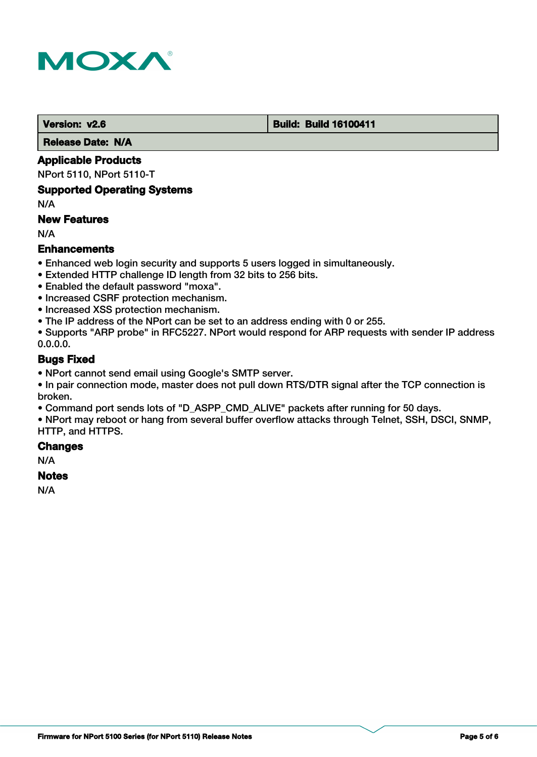

#### **Version: v2.6 Build: Build: Build 16100411**

 **Release Date: N/A**

### **Applicable Products**

NPort 5110, NPort 5110-T

#### **Supported Operating Systems**

N/A

### **New Features**

N/A

### **Enhancements**

- Enhanced web login security and supports 5 users logged in simultaneously.
- Extended HTTP challenge ID length from 32 bits to 256 bits.
- Enabled the default password "moxa".
- Increased CSRF protection mechanism.
- Increased XSS protection mechanism.
- The IP address of the NPort can be set to an address ending with 0 or 255.

• Supports "ARP probe" in RFC5227. NPort would respond for ARP requests with sender IP address 0.0.0.0.

### **Bugs Fixed**

• NPort cannot send email using Google's SMTP server.

• In pair connection mode, master does not pull down RTS/DTR signal after the TCP connection is broken.

• Command port sends lots of "D\_ASPP\_CMD\_ALIVE" packets after running for 50 days.

• NPort may reboot or hang from several buffer overflow attacks through Telnet, SSH, DSCI, SNMP, HTTP, and HTTPS.

#### **Changes**

N/A

#### **Notes**